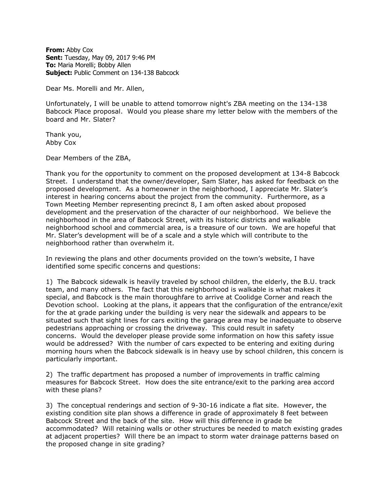**From:** Abby Cox **Sent:** Tuesday, May 09, 2017 9:46 PM **To:** Maria Morelli; Bobby Allen **Subject:** Public Comment on 134-138 Babcock

Dear Ms. Morelli and Mr. Allen,

Unfortunately, I will be unable to attend tomorrow night's ZBA meeting on the 134-138 Babcock Place proposal. Would you please share my letter below with the members of the board and Mr. Slater?

Thank you, Abby Cox

Dear Members of the ZBA,

Thank you for the opportunity to comment on the proposed development at 134-8 Babcock Street. I understand that the owner/developer, Sam Slater, has asked for feedback on the proposed development. As a homeowner in the neighborhood, I appreciate Mr. Slater's interest in hearing concerns about the project from the community. Furthermore, as a Town Meeting Member representing precinct 8, I am often asked about proposed development and the preservation of the character of our neighborhood. We believe the neighborhood in the area of Babcock Street, with its historic districts and walkable neighborhood school and commercial area, is a treasure of our town. We are hopeful that Mr. Slater's development will be of a scale and a style which will contribute to the neighborhood rather than overwhelm it.

In reviewing the plans and other documents provided on the town's website, I have identified some specific concerns and questions:

1) The Babcock sidewalk is heavily traveled by school children, the elderly, the B.U. track team, and many others. The fact that this neighborhood is walkable is what makes it special, and Babcock is the main thoroughfare to arrive at Coolidge Corner and reach the Devotion school. Looking at the plans, it appears that the configuration of the entrance/exit for the at grade parking under the building is very near the sidewalk and appears to be situated such that sight lines for cars exiting the garage area may be inadequate to observe pedestrians approaching or crossing the driveway. This could result in safety concerns. Would the developer please provide some information on how this safety issue would be addressed? With the number of cars expected to be entering and exiting during morning hours when the Babcock sidewalk is in heavy use by school children, this concern is particularly important.

2) The traffic department has proposed a number of improvements in traffic calming measures for Babcock Street. How does the site entrance/exit to the parking area accord with these plans?

3) The conceptual renderings and section of 9-30-16 indicate a flat site. However, the existing condition site plan shows a difference in grade of approximately 8 feet between Babcock Street and the back of the site. How will this difference in grade be accommodated? Will retaining walls or other structures be needed to match existing grades at adjacent properties? Will there be an impact to storm water drainage patterns based on the proposed change in site grading?